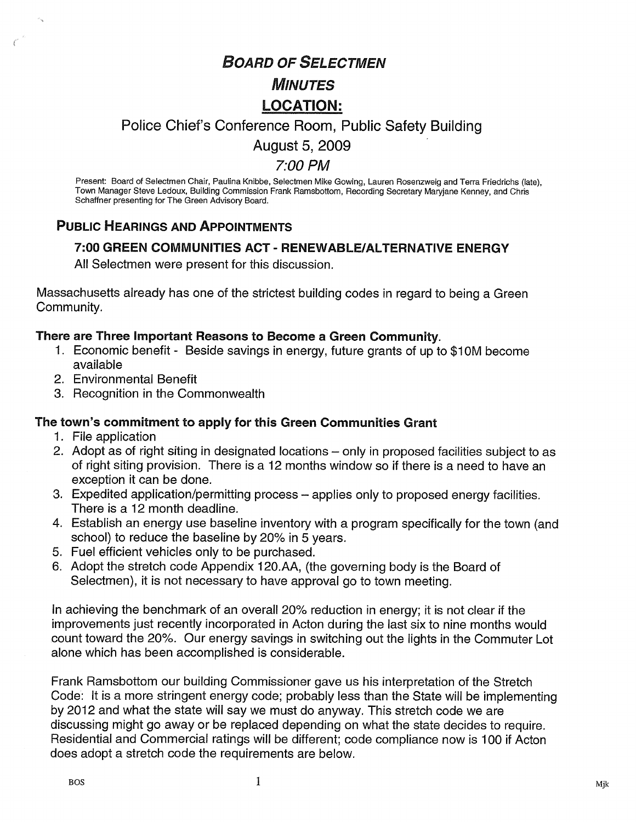# BOARD OF SELECTMEN

# MINUTES LOCATION:

### Police Chief's Conference Room, Public Safety Building

August 5, 2009

#### 7:00 PM

Present: Board of Selectmen Chair, Paulina Knibbe, Selectmen Mike Gowing, Lauren Rosenzweig and Terra Friedrichs (late), Town Manager Steve Ledoux, Building Commission Frank Ramsbottom, Recording Secretary Maryjane Kenney, and Chris Schaffner presenting for The Green Advisory Board.

### PUBLIC HEARINGS AND APPOINTMENTS

#### 7:00 GREEN COMMUNITIES ACT - RENEWABLE/ALTERNATIVE ENERGY

All Selectmen were present for this discussion.

Massachusetts already has one of the strictest building codes in regard to being a Green Community.

#### There are Three Important Reasons to Become a Green Community.

- 1. Economic benefit Beside savings in energy, future grants of up to \$1 OM become available
- 2. Environmental Benefit
- 3. Recognition in the Commonwealth

#### The town's commitment to apply for this Green Communities Grant

- 1. File application
- 2. Adopt as of right siting in designated locations only in proposed facilities subject to as of right siting provision. There is a 12 months window so if there is a need to have an exception it can be done.
- 3. Expedited application/permitting process applies only to proposed energy facilities. There is a 12 month deadline.
- 4. Establish an energy use baseline inventory with a program specifically for the town (and school) to reduce the baseline by 20% in 5 years.
- 5. Fuel efficient vehicles only to be purchased.
- 6. Adopt the stretch code Appendix <sup>1</sup> 20.AA, (the governing body is the Board of Selectmen), it is not necessary to have approval go to town meeting.

In achieving the benchmark of an overall 20% reduction in energy; it is not clear if the improvements just recently incorporated in Acton during the last six to nine months would count toward the 20%. Our energy savings in switching out the lights in the Commuter Lot alone which has been accomplished is considerable.

Frank Ramsbottom our building Commissioner gave us his interpretation of the Stretch Code: It is a more stringent energy code; probably less than the State will be implementing by 2012 and what the state will say we must do anyway. This stretch code we are discussing might go away or be replaced depending on what the state decides to require. Residential and Commercial ratings will be different; code compliance now is 100 if Acton does adopt a stretch code the requirements are below.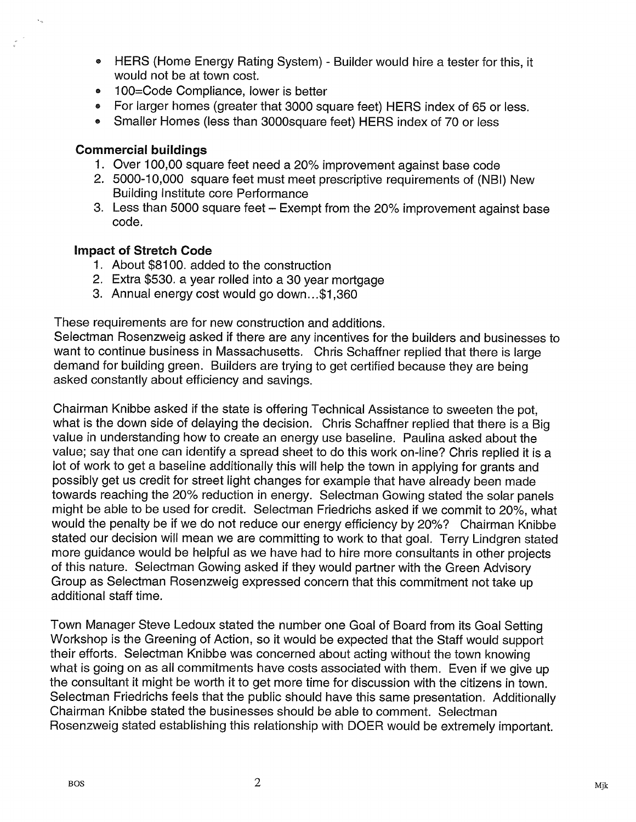- HERS (Home Energy Rating System) Builder would hire a tester for this, it would not be at town cost.
- 100=Code Compliance, lower is better
- For larger homes (greater that 3000 square feet) HERS index of 65 or less.
- Smaller Homes (less than 3000square feet) HERS index of 70 or less

#### Commercial buildings

- 1. Over 100,00 square feet need a 20% improvement against base code
- 2. 5000-10,000 square feet must meet prescriptive requirements of (NBI) New Building Institute core Performance
- 3. Less than 5000 square feet Exempt from the 20% improvement against base code.

#### Impact of Stretch Code

- 1. About \$8100. added to the construction
- 2. Extra \$530. a year rolled into a 30 year mortgage
- 3. Annual energy cost would go down.. .\$1 ,360

These requirements are for new construction and additions.

Selectman Rosenzweig asked if there are any incentives for the builders and businesses to want to continue business in Massachusetts. Chris Schaffner replied that there is large demand for building green. Builders are trying to get certified because they are being asked constantly about efficiency and savings.

Chairman Knibbe asked if the state is offering Technical Assistance to sweeten the pot, what is the down side of delaying the decision. Chris Schaffner replied that there is a Big value in understanding how to create an energy use baseline. Paulina asked about the value; say that one can identify a spread sheet to do this work on-line? Chris replied it is a lot of work to get a baseline additionally this will help the town in applying for grants and possibly get us credit for street light changes for example that have already been made towards reaching the 20% reduction in energy. Selectman Gowing stated the solar panels might be able to be used for credit. Selectman Friedrichs asked if we commit to 20%, what would the penalty be if we do not reduce our energy efficiency by 20%? Chairman Knibbe stated our decision will mean we are committing to work to that goal. Terry Lindgren stated more guidance would be helpful as we have had to hire more consultants in other projects of this nature. Selectman Gowing asked if they would partner with the Green Advisory Group as Selectman Rosenzweig expressed concern that this commitment not take up additional staff time.

Town Manager Steve Ledoux stated the number one Goal of Board from its Goal Setting Workshop is the Greening of Action, so it would be expected that the Staff would support their efforts. Selectman Knibbe was concerned about acting without the town knowing what is going on as all commitments have costs associated with them. Even if we give up the consultant it might be worth it to get more time for discussion with the citizens in town. Selectman Friedrichs feels that the public should have this same presentation. Additionally Chairman Knibbe stated the businesses should be able to comment. Selectman Rosenzweig stated establishing this relationship with DOER would be extremely important.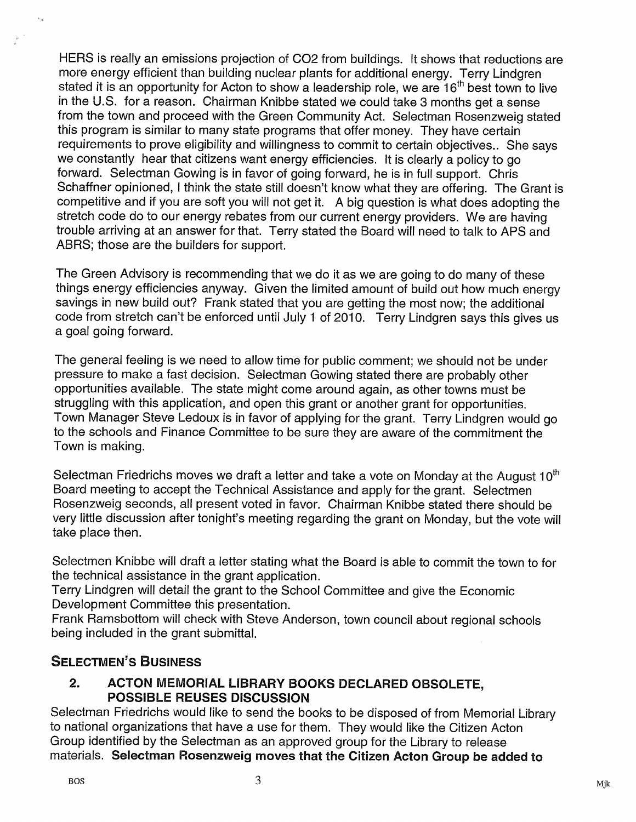HERS is really an emissions projection of C02 from buildings. It shows that reductions are more energy efficient than building nuclear plants for additional energy. Terry Lindgren stated it is an opportunity for Acton to show a leadership role, we are  $16<sup>th</sup>$  best town to live in the U.S. for a reason. Chairman Knibbe stated we could take 3 months get a sense from the town and proceed with the Green Community Act. Selectman Rosenzweig stated this program is similar to many state programs that offer money. They have certain requirements to prove eligibility and willingness to commit to certain objectives.. She says we constantly hear that citizens want energy efficiencies. It is clearly a policy to go forward. Selectman Gowing is in favor of going forward, he is in full support. Chris Schaffner opinioned, <sup>I</sup> think the state still doesn't know what they are offering. The Grant is competitive and if you are soft you will not get it. <sup>A</sup> big question is what does adopting the stretch code do to our energy rebates from our current energy providers. We are having trouble arriving at an answer for that. Terry stated the Board will need to talk to APS and ABRS; those are the builders for support.

The Green Advisory is recommending that we do it as we are going to do many of these things energy efficiencies anyway. Given the limited amount of build out how much energy savings in new build out? Frank stated that you are getting the most now; the additional code from stretch can't be enforced until July <sup>1</sup> of 2010. Terry Lindgren says this gives us a goal going forward.

The general feeling is we need to allow time for public comment; we should not be under pressure to make a fast decision. Selectman Gowing stated there are probably other opportunities available. The state might come around again, as other towns must be struggling with this application, and open this grant or another grant for opportunities. Town Manager Steve Ledoux is in favor of applying for the grant. Terry Lindgren would go to the schools and Finance Committee to be sure they are aware of the commitment the Town is making.

Selectman Friedrichs moves we draft a letter and take a vote on Monday at the August  $10<sup>th</sup>$ Board meeting to accept the Technical Assistance and apply for the grant. Selectmen Rosenzweig seconds, all present voted in favor. Chairman Knibbe stated there should be very little discussion after tonight's meeting regarding the grant on Monday, but the vote will take place then.

Selectmen Knibbe will draft a letter stating what the Board is able to commit the town to for the technical assistance in the grant application. Exact prace aren:<br>
Selectmen Knibbe will draft<br>
the technical assistance in<br>
Terry Lindgren will detail the<br>
Development Committee the<br>
Frank Ramsbottom will che<br>
being included in the grant<br>
SELECTMEN'S BUSINESS<br>
2. ACTON

Terry Lindgren will detail the grant to the School Committee and give the Economic Development Committee this presentation.

Frank Ramsbottom will check with Steve Anderson, town council about regional schools being included in the grant submittal.

#### 2. ACTON MEMORIAL LIBRARY BOOKS DECLARED OBSOLETE, POSSIBLE REUSES DISCUSSION

Selectman Friedrichs would like to send the books to be disposed of from Memorial Library to national organizations that have a use for them. They would like the Citizen Acton Group identified by the Selectman as an approved group for the Library to release materials. Selectman Rosenzweig moves that the Citizen Acton Group be added to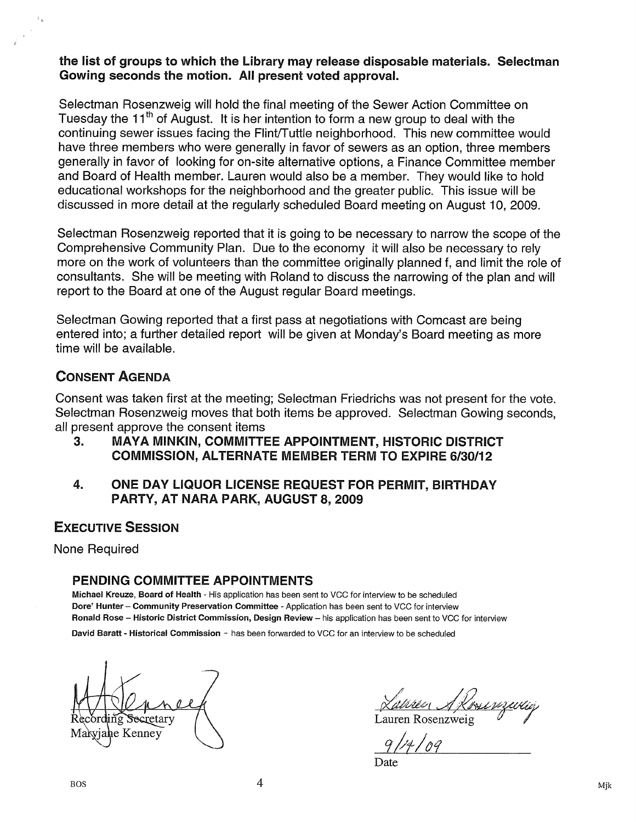#### the list of groups to which the Library may release disposable materials, Selectman Gowing seconds the motion. All present voted approval.

Selectman Rosenzweig will hold the final meeting of the Sewer Action Committee on Tuesday the 11<sup>th</sup> of August. It is her intention to form a new group to deal with the continuing sewer issues facing the Flint/Tuttle neighborhood. This new committee would have three members who were generally in favor of sewers as an option, three members generally in favor of looking for on-site alternative options, a Finance Committee member and Board of Health member. Lauren would also be a member. They would like to hold educational workshops for the neighborhood and the greater public. This issue will be discussed in more detail at the regularly scheduled Board meeting on August 10, 2009.

Selectman Rosenzweig reported that it is going to be necessary to narrow the scope of the Comprehensive Community Plan. Due to the economy it will also be necessary to rely more on the work of volunteers than the committee originally planned f, and limit the role of consultants. She will be meeting with Roland to discuss the narrowing of the plan and will report to the Board at one of the August regular Board meetings.

Selectman Gowing reported that a first pass at negotiations with Comcast are being entered into; a further detailed report will be given at Monday's Board meeting as more time will be available.

#### CONSENT AGENDA

Consent was taken first at the meeting; Selectman Friedrichs was not present for the vote. Selectman Rosenzweig moves that both items be approved. Selectman Gowing seconds, all present approve the consent items

- 3. MAYA MINKIN, COMMITTEE APPOINTMENT, HISTORIC DISTRICT COMMISSION, ALTERNATE MEMBER TERM TO EXPIRE 6/30/12
- 4. ONE DAY LIQUOR LICENSE REQUEST FOR PERMIT, BIRTHDAY PARTY, AT NARA PARK, AUGUST 8, 2009

#### EXECUTIVE SESSION

None Required

#### PENDING COMMITTEE APPOINTMENTS

Michael Kreuze, Board of Health - His application has been sent to VCC for interview to be scheduled Dore' Hunter — community Preservation committee - Application has been sent to VCC for interview Ronald Rose - Historic District Commission, Design Review - his application has been sent to VCC for interview David Baratt - Historical Commission - has been forwarded to VCC for an interview to be scheduled

 $\bigoplus$ Maryjane Kenney  $\bigcup_{\alpha}$  ,  $\bigcup_{\alpha}$ 

Secretary  $\bigwedge$  Lauren Rosenzweig

Date